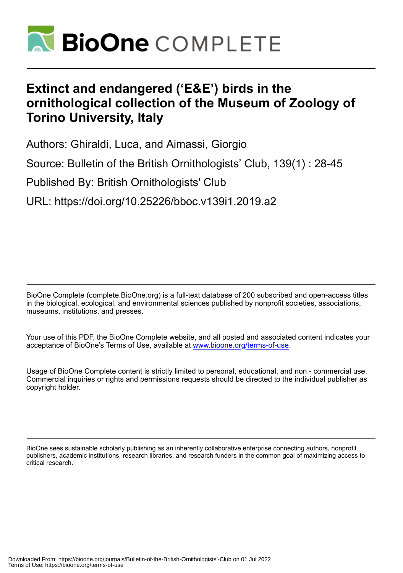

# **Extinct and endangered ('E&E') birds in the ornithological collection of the Museum of Zoology of Torino University, Italy**

Authors: Ghiraldi, Luca, and Aimassi, Giorgio

Source: Bulletin of the British Ornithologists' Club, 139(1) : 28-45

Published By: British Ornithologists' Club

URL: https://doi.org/10.25226/bboc.v139i1.2019.a2

BioOne Complete (complete.BioOne.org) is a full-text database of 200 subscribed and open-access titles in the biological, ecological, and environmental sciences published by nonprofit societies, associations, museums, institutions, and presses.

Your use of this PDF, the BioOne Complete website, and all posted and associated content indicates your acceptance of BioOne's Terms of Use, available at www.bioone.org/terms-of-use.

Usage of BioOne Complete content is strictly limited to personal, educational, and non - commercial use. Commercial inquiries or rights and permissions requests should be directed to the individual publisher as copyright holder.

BioOne sees sustainable scholarly publishing as an inherently collaborative enterprise connecting authors, nonprofit publishers, academic institutions, research libraries, and research funders in the common goal of maximizing access to critical research.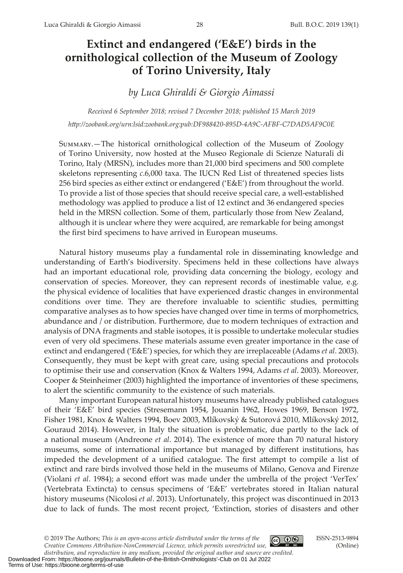# **Extinct and endangered ('E&E') birds in the ornithological collection of the Museum of Zoology of Torino University, Italy**

*by Luca Ghiraldi & Giorgio Aimassi*

*Received 6 September 2018; revised 7 December 2018; published 15 March 2019 [htp://zoobank.org/](http://zoobank.org/urn:lsid:zoobank.org:pub:30C37132-7B59-435B-A85B-B74D808ECFFE )urn:lsid:zoobank.org:pub:DF988420-895D-4A9C-AFBF-C7DAD5AF9C0E*

Summary.—The historical ornithological collection of the Museum of Zoology of Torino University, now hosted at the Museo Regionale di Scienze Naturali di Torino, Italy (MRSN), includes more than 21,000 bird specimens and 500 complete skeletons representing *c*.6,000 taxa. The IUCN Red List of threatened species lists 256 bird species as either extinct or endangered ('E&E') from throughout the world. To provide a list of those species that should receive special care, a well-established methodology was applied to produce a list of 12 extinct and 36 endangered species held in the MRSN collection. Some of them, particularly those from New Zealand, although it is unclear where they were acquired, are remarkable for being amongst the first bird specimens to have arrived in European museums.

Natural history museums play a fundamental role in disseminating knowledge and understanding of Earth's biodiversity. Specimens held in these collections have always had an important educational role, providing data concerning the biology, ecology and conservation of species. Moreover, they can represent records of inestimable value, e.g. the physical evidence of localities that have experienced drastic changes in environmental conditions over time. They are therefore invaluable to scientifc studies, permiting comparative analyses as to how species have changed over time in terms of morphometrics, abundance and / or distribution. Furthermore, due to modern techniques of extraction and analysis of DNA fragments and stable isotopes, it is possible to undertake molecular studies even of very old specimens. These materials assume even greater importance in the case of extinct and endangered ('E&E') species, for which they are irreplaceable (Adams *et al*. 2003). Consequently, they must be kept with great care, using special precautions and protocols to optimise their use and conservation (Knox & Walters 1994, Adams *et al*. 2003). Moreover, Cooper & Steinheimer (2003) highlighted the importance of inventories of these specimens, to alert the scientifc community to the existence of such materials.

Many important European natural history museums have already published catalogues of their 'E&E' bird species (Stresemann 1954, Jouanin 1962, Howes 1969, Benson 1972, Fisher 1981, Knox & Walters 1994, Boev 2003, Mlíkovský & Sutorová 2010, Mlíkovský 2012, Gouraud 2014). However, in Italy the situation is problematic, due partly to the lack of a national museum (Andreone *et al*. 2014). The existence of more than 70 natural history museums, some of international importance but managed by diferent institutions, has impeded the development of a unifed catalogue. The frst atempt to compile a list of extinct and rare birds involved those held in the museums of Milano, Genova and Firenze (Violani *et al*. 1984); a second efort was made under the umbrella of the project 'VerTex' (Vertebrata Extincta) to census specimens of 'E&E' vertebrates stored in Italian natural history museums (Nicolosi *et al*. 2013). Unfortunately, this project was discontinued in 2013 due to lack of funds. The most recent project, 'Extinction, stories of disasters and other

© 2019 The Authors; *This is an open‐access article distributed under the terms of the Creative Commons Atribution-NonCommercial Licence, which permits unrestricted use,* 

ISSN-2513-9894 (Online)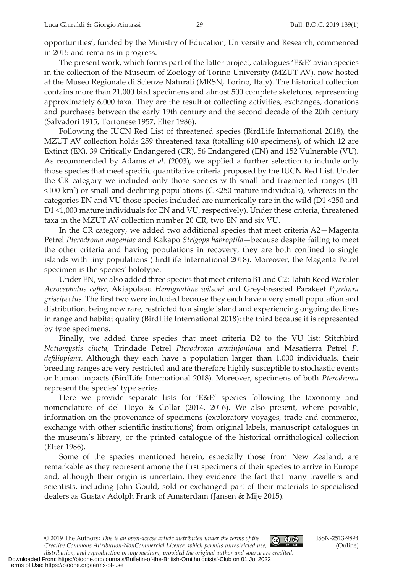opportunities', funded by the Ministry of Education, University and Research, commenced in 2015 and remains in progress.

The present work, which forms part of the later project, catalogues 'E&E' avian species in the collection of the Museum of Zoology of Torino University (MZUT AV), now hosted at the Museo Regionale di Scienze Naturali (MRSN, Torino, Italy). The historical collection contains more than 21,000 bird specimens and almost 500 complete skeletons, representing approximately 6,000 taxa. They are the result of collecting activities, exchanges, donations and purchases between the early 19th century and the second decade of the 20th century (Salvadori 1915, Tortonese 1957, Elter 1986).

Following the IUCN Red List of threatened species (BirdLife International 2018), the MZUT AV collection holds 259 threatened taxa (totalling 610 specimens), of which 12 are Extinct (EX), 39 Critically Endangered (CR), 56 Endangered (EN) and 152 Vulnerable (VU). As recommended by Adams *et al*. (2003), we applied a further selection to include only those species that meet specifc quantitative criteria proposed by the IUCN Red List. Under the CR category we included only those species with small and fragmented ranges (B1 <100 km<sup>2</sup> ) or small and declining populations (C <250 mature individuals), whereas in the categories EN and VU those species included are numerically rare in the wild (D1 <250 and D1 <1,000 mature individuals for EN and VU, respectively). Under these criteria, threatened taxa in the MZUT AV collection number 20 CR, two EN and six VU.

In the CR category, we added two additional species that meet criteria A2—Magenta Petrel *Pterodroma magentae* and Kakapo *Strigops habroptila*—because despite failing to meet the other criteria and having populations in recovery, they are both confned to single islands with tiny populations (BirdLife International 2018). Moreover, the Magenta Petrel specimen is the species' holotype.

Under EN, we also added three species that meet criteria B1 and C2: Tahiti Reed Warbler *Acrocephalus cafer*, Akiapolaau *Hemignathus wilsoni* and Grey-breasted Parakeet *Pyrrhura griseipectus*. The frst two were included because they each have a very small population and distribution, being now rare, restricted to a single island and experiencing ongoing declines in range and habitat quality (BirdLife International 2018); the third because it is represented by type specimens.

Finally, we added three species that meet criteria D2 to the VU list: Stitchbird *Notiomystis cincta*, Trindade Petrel *Pterodroma arminjoniana* and Masatierra Petrel *P. deflippiana*. Although they each have a population larger than 1,000 individuals, their breeding ranges are very restricted and are therefore highly susceptible to stochastic events or human impacts (BirdLife International 2018). Moreover, specimens of both *Pterodroma* represent the species' type series.

Here we provide separate lists for 'E&E' species following the taxonomy and nomenclature of del Hoyo & Collar (2014, 2016). We also present, where possible, information on the provenance of specimens (exploratory voyages, trade and commerce, exchange with other scientifc institutions) from original labels, manuscript catalogues in the museum's library, or the printed catalogue of the historical ornithological collection (Elter 1986).

Some of the species mentioned herein, especially those from New Zealand, are remarkable as they represent among the frst specimens of their species to arrive in Europe and, although their origin is uncertain, they evidence the fact that many travellers and scientists, including John Gould, sold or exchanged part of their materials to specialised dealers as Gustav Adolph Frank of Amsterdam (Jansen & Mije 2015).

© 2019 The Authors; *This is an open‐access article distributed under the terms of the Creative Commons Atribution-NonCommercial Licence, which permits unrestricted use,* 

ISSN-2513-9894 (Online)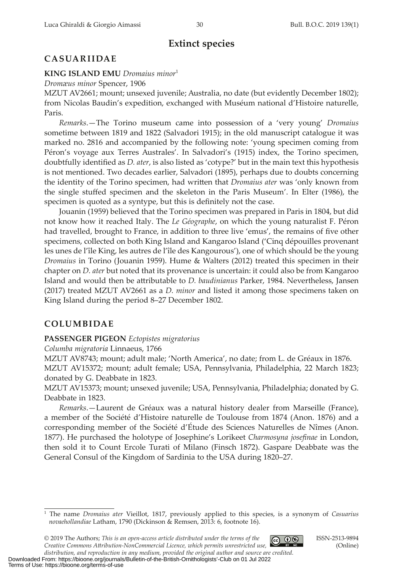# **Extinct species**

# **CASUARIIDAE**

#### **KING ISLAND EMU** *Dromaius minor*<sup>1</sup>

*Dromæus minor* Spencer, 1906

MZUT AV2661; mount; unsexed juvenile; Australia, no date (but evidently December 1802); from Nicolas Baudin's expedition, exchanged with Muséum national d'Histoire naturelle, Paris.

*Remarks*.—The Torino museum came into possession of a 'very young' *Dromaius* sometime between 1819 and 1822 (Salvadori 1915); in the old manuscript catalogue it was marked no. 2816 and accompanied by the following note: 'young specimen coming from Péron's voyage aux Terres Australes'. In Salvadori's (1915) index, the Torino specimen, doubtfully identifed as *D. ater*, is also listed as 'cotype?' but in the main text this hypothesis is not mentioned. Two decades earlier, Salvadori (1895), perhaps due to doubts concerning the identity of the Torino specimen, had writen that *Dromaius ater* was 'only known from the single stufed specimen and the skeleton in the Paris Museum'. In Elter (1986), the specimen is quoted as a syntype, but this is definitely not the case.

Jouanin (1959) believed that the Torino specimen was prepared in Paris in 1804, but did not know how it reached Italy. The *Le Géographe*, on which the young naturalist F. Péron had travelled, brought to France, in addition to three live 'emus', the remains of five other specimens, collected on both King Island and Kangaroo Island ('Cinq dépouilles provenant les unes de l'île King, les autres de l'île des Kangourous'), one of which should be the young *Dromaius* in Torino (Jouanin 1959). Hume & Walters (2012) treated this specimen in their chapter on *D. ater* but noted that its provenance is uncertain: it could also be from Kangaroo Island and would then be atributable to *D. baudinianus* Parker, 1984. Nevertheless, Jansen (2017) treated MZUT AV2661 as a *D. minor* and listed it among those specimens taken on King Island during the period 8–27 December 1802.

# **COLUMBIDAE**

#### **PASSENGER PIGEON** *Ectopistes migratorius*

*Columba migratoria* Linnaeus, 1766

MZUT AV8743; mount; adult male; 'North America', no date; from L. de Gréaux in 1876. MZUT AV15372; mount; adult female; USA, Pennsylvania, Philadelphia, 22 March 1823; donated by G. Deabbate in 1823.

MZUT AV15373; mount; unsexed juvenile; USA, Pennsylvania, Philadelphia; donated by G. Deabbate in 1823.

*Remarks*.—Laurent de Gréaux was a natural history dealer from Marseille (France), a member of the Société d'Histoire naturelle de Toulouse from 1874 (Anon. 1876) and a corresponding member of the Société d'Étude des Sciences Naturelles de Nîmes (Anon. 1877). He purchased the holotype of Josephine's Lorikeet *Charmosyna josefnae* in London, then sold it to Count Ercole Turati of Milano (Finsch 1872). Gaspare Deabbate was the General Consul of the Kingdom of Sardinia to the USA during 1820–27.

<sup>1</sup> The name *Dromaius ater* Vieillot, 1817, previously applied to this species, is a synonym of *Casuarius novaehollandiae* Latham, 1790 (Dickinson & Remsen, 2013: 6, footnote 16).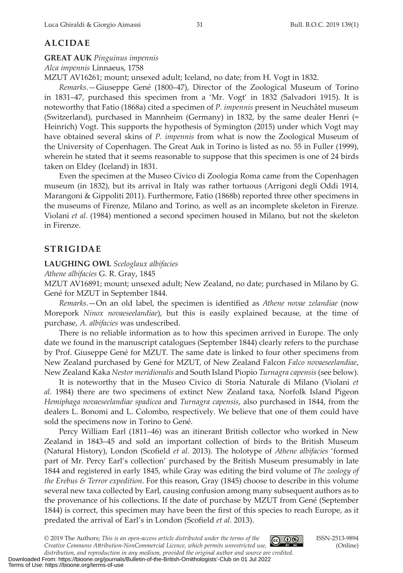# **ALCIDAE**

#### **GREAT AUK** *Pinguinus impennis*

*Alca impennis* Linnaeus, 1758

MZUT AV16261; mount; unsexed adult; Iceland, no date; from H. Vogt in 1832.

*Remarks*.—Giuseppe Gené (1800–47), Director of the Zoological Museum of Torino in 1831–47, purchased this specimen from a 'Mr. Vogt' in 1832 (Salvadori 1915). It is noteworthy that Fatio (1868a) cited a specimen of *P. impennis* present in Neuchâtel museum (Switerland), purchased in Mannheim (Germany) in 1832, by the same dealer Henri (= Heinrich) Vogt. This supports the hypothesis of Symington (2015) under which Vogt may have obtained several skins of *P. impennis* from what is now the Zoological Museum of the University of Copenhagen. The Great Auk in Torino is listed as no. 55 in Fuller (1999), wherein he stated that it seems reasonable to suppose that this specimen is one of 24 birds taken on Eldey (Iceland) in 1831.

Even the specimen at the Museo Civico di Zoologia Roma came from the Copenhagen museum (in 1832), but its arrival in Italy was rather tortuous (Arrigoni degli Oddi 1914, Marangoni & Gippoliti 2011). Furthermore, Fatio (1868b) reported three other specimens in the museums of Firenze, Milano and Torino, as well as an incomplete skeleton in Firenze. Violani *et al*. (1984) mentioned a second specimen housed in Milano, but not the skeleton in Firenze.

# **STRIGIDAE**

#### **LAUGHING OWL** *Sceloglaux albifacies*

*Athene albifacies* G. R. Gray, 1845

MZUT AV16891; mount; unsexed adult; New Zealand, no date; purchased in Milano by G. Gené for MZUT in September 1844.

*Remarks*.—On an old label, the specimen is identifed as *Athene novae zelandiae* (now Morepork *Ninox novaeseelandiae*), but this is easily explained because, at the time of purchase, *A. albifacies* was undescribed.

There is no reliable information as to how this specimen arrived in Europe. The only date we found in the manuscript catalogues (September 1844) clearly refers to the purchase by Prof. Giuseppe Gené for MZUT. The same date is linked to four other specimens from New Zealand purchased by Gené for MZUT, of New Zealand Falcon *Falco novaeseelandiae*, New Zealand Kaka *Nestor meridionalis* and South Island Piopio *Turnagra capensis* (see below).

It is noteworthy that in the Museo Civico di Storia Naturale di Milano (Violani *et al*. 1984) there are two specimens of extinct New Zealand taxa, Norfolk Island Pigeon *Hemiphaga novaeseelandiae spadicea* and *Turnagra capensis*, also purchased in 1844, from the dealers L. Bonomi and L. Colombo, respectively. We believe that one of them could have sold the specimens now in Torino to Gené.

Percy William Earl (1811–46) was an itinerant British collector who worked in New Zealand in 1843–45 and sold an important collection of birds to the British Museum (Natural History), London (Scofeld *et al*. 2013). The holotype of *Athene albifacies* 'formed part of Mr. Percy Earl's collection' purchased by the British Museum presumably in late 1844 and registered in early 1845, while Gray was editing the bird volume of *The zoology of the Erebus & Terror expedition*. For this reason, Gray (1845) choose to describe in this volume several new taxa collected by Earl, causing confusion among many subsequent authors as to the provenance of his collections. If the date of purchase by MZUT from Gené (September 1844) is correct, this specimen may have been the frst of this species to reach Europe, as it predated the arrival of Earl's in London (Scofeld *et al.* 2013).

© 2019 The Authors; *This is an open‐access article distributed under the terms of the Creative Commons Atribution-NonCommercial Licence, which permits unrestricted use,* 



ISSN-2513-9894 (Online)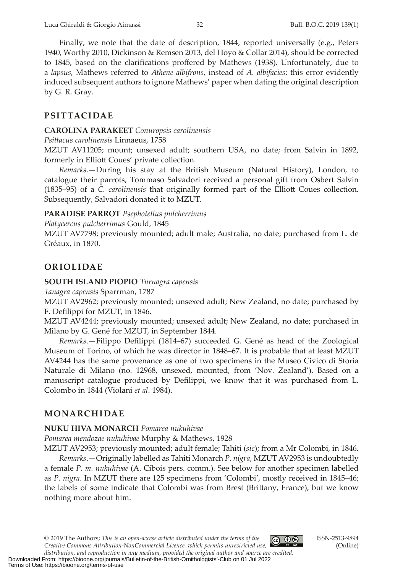Finally, we note that the date of description, 1844, reported universally (e.g., Peters 1940, Worthy 2010, Dickinson & Remsen 2013, del Hoyo & Collar 2014), should be corrected to 1845, based on the clarifcations profered by Mathews (1938). Unfortunately, due to a *lapsus*, Mathews referred to *Athene albifrons*, instead of *A. albifacies*: this error evidently induced subsequent authors to ignore Mathews' paper when dating the original description by G. R. Gray.

# **PSITTACIDAE**

#### **CAROLINA PARAKEET** *Conuropsis carolinensis*

*Psitacus carolinensis* Linnaeus, 1758

MZUT AV11205; mount; unsexed adult; southern USA, no date; from Salvin in 1892, formerly in Elliott Coues' private collection.

*Remarks*.—During his stay at the British Museum (Natural History), London, to catalogue their parrots, Tommaso Salvadori received a personal gift from Osbert Salvin (1835–95) of a *C. carolinensis* that originally formed part of the Elliot Coues collection. Subsequently, Salvadori donated it to MZUT.

#### **PARADISE PARROT** *Psephotellus pulcherrimus*

*Platycercus pulcherrimus* Gould, 1845

MZUT AV7798; previously mounted; adult male; Australia, no date; purchased from L. de Gréaux, in 1870.

# **ORIOLIDAE**

**SOUTH ISLAND PIOPIO** *Turnagra capensis*

*Tanagra capensis* Sparrman, 1787

MZUT AV2962; previously mounted; unsexed adult; New Zealand, no date; purchased by F. Deflippi for MZUT, in 1846.

MZUT AV4244; previously mounted; unsexed adult; New Zealand, no date; purchased in Milano by G. Gené for MZUT, in September 1844.

*Remarks*.—Filippo Deflippi (1814–67) succeeded G. Gené as head of the Zoological Museum of Torino, of which he was director in 1848–67. It is probable that at least MZUT AV4244 has the same provenance as one of two specimens in the Museo Civico di Storia Naturale di Milano (no. 12968, unsexed, mounted, from 'Nov. Zealand'). Based on a manuscript catalogue produced by Deflippi, we know that it was purchased from L. Colombo in 1844 (Violani *et al*. 1984).

# **MONARCHIDAE**

Terms of Use: https://bioone.org/terms-of-use

# **NUKU HIVA MONARCH** *Pomarea nukuhivae*

*Pomarea mendozae nukuhivae* Murphy & Mathews, 1928

MZUT AV2953; previously mounted; adult female; Tahiti (*sic*); from a Mr Colombi, in 1846. *Remarks*.—Originally labelled as Tahiti Monarch *P. nigra*, MZUT AV2953 is undoubtedly a female *P. m. nukuhivae* (A. Cibois pers. comm.). See below for another specimen labelled as *P. nigra*. In MZUT there are 125 specimens from 'Colombi', mostly received in 1845–46; the labels of some indicate that Colombi was from Brest (Britany, France), but we know nothing more about him.

Downloaded From: https://bioone.org/journals/Bulletin-of-the-British-Ornithologists'-Club on 01 Jul 2022

*distribution, and reproduction in any medium, provided the original author and source are credited.*

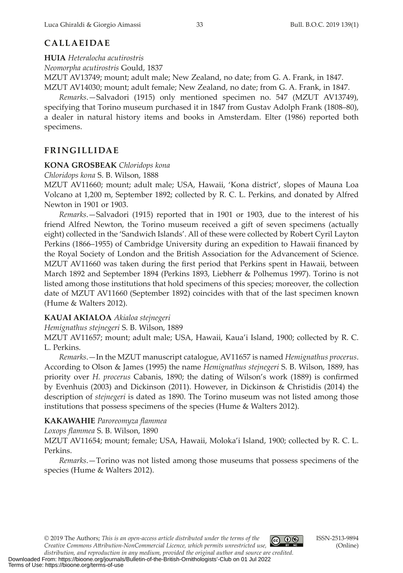# **CALLAEIDAE**

**HUIA** *Heteralocha acutirostris*

*Neomorpha acutirostris* Gould, 1837

MZUT AV13749; mount; adult male; New Zealand, no date; from G. A. Frank, in 1847. MZUT AV14030; mount; adult female; New Zealand, no date; from G. A. Frank, in 1847.

*Remarks*.—Salvadori (1915) only mentioned specimen no. 547 (MZUT AV13749), specifying that Torino museum purchased it in 1847 from Gustav Adolph Frank (1808–80), a dealer in natural history items and books in Amsterdam. Elter (1986) reported both specimens.

# **FRINGILLIDAE**

### **KONA GROSBEAK** *Chloridops kona*

*Chloridops kona* S. B. Wilson, 1888

MZUT AV11660; mount; adult male; USA, Hawaii, 'Kona district', slopes of Mauna Loa Volcano at 1,200 m, September 1892; collected by R. C. L. Perkins, and donated by Alfred Newton in 1901 or 1903.

*Remarks*.—Salvadori (1915) reported that in 1901 or 1903, due to the interest of his friend Alfred Newton, the Torino museum received a gift of seven specimens (actually eight) collected in the 'Sandwich Islands'. All of these were collected by Robert Cyril Layton Perkins (1866–1955) of Cambridge University during an expedition to Hawaii fnanced by the Royal Society of London and the British Association for the Advancement of Science. MZUT AV11660 was taken during the frst period that Perkins spent in Hawaii, between March 1892 and September 1894 (Perkins 1893, Liebherr & Polhemus 1997). Torino is not listed among those institutions that hold specimens of this species; moreover, the collection date of MZUT AV11660 (September 1892) coincides with that of the last specimen known (Hume & Walters 2012).

### **KAUAI AKIALOA** *Akialoa stejnegeri*

*Hemignathus stejnegeri* S. B. Wilson, 1889

MZUT AV11657; mount; adult male; USA, Hawaii, Kaua'i Island, 1900; collected by R. C. L. Perkins.

*Remarks*.—In the MZUT manuscript catalogue, AV11657 is named *Hemignathus procerus*. According to Olson & James (1995) the name *Hemignathus stejnegeri* S. B. Wilson, 1889, has priority over *H. procerus* Cabanis, 1890; the dating of Wilson's work (1889) is confrmed by Evenhuis (2003) and Dickinson (2011). However, in Dickinson & Christidis (2014) the description of *stejnegeri* is dated as 1890. The Torino museum was not listed among those institutions that possess specimens of the species (Hume & Walters 2012).

# **KAKAWAHIE** *Paroreomyza fammea*

*Loxops fammea* S. B. Wilson, 1890

MZUT AV11654; mount; female; USA, Hawaii, Moloka'i Island, 1900; collected by R. C. L. Perkins.

*Remarks*.—Torino was not listed among those museums that possess specimens of the species (Hume & Walters 2012).

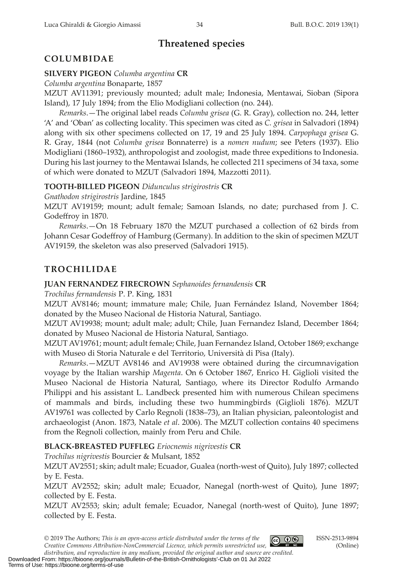# **Threatened species**

# **COLUMBIDAE**

## **SILVERY PIGEON** *Columba argentina* **CR**

*Columba argentina* Bonaparte, 1857

MZUT AV11391; previously mounted; adult male; Indonesia, Mentawai, Sioban (Sipora Island), 17 July 1894; from the Elio Modigliani collection (no. 244).

*Remarks*.—The original label reads *Columba grisea* (G. R. Gray), collection no. 244, leter 'A' and 'Oban' as collecting locality. This specimen was cited as *C. grisea* in Salvadori (1894) along with six other specimens collected on 17, 19 and 25 July 1894. *Carpophaga grisea* G. R. Gray, 1844 (not *Columba grisea* Bonnaterre) is a *nomen nudum*; see Peters (1937). Elio Modigliani (1860–1932), anthropologist and zoologist, made three expeditions to Indonesia. During his last journey to the Mentawai Islands, he collected 211 specimens of 34 taxa, some of which were donated to MZUT (Salvadori 1894, Mazzoti 2011).

# **TOOTH-BILLED PIGEON** *Didunculus strigirostris* **CR**

*Gnathodon strigirostris* Jardine, 1845

MZUT AV19159; mount; adult female; Samoan Islands, no date; purchased from J. C. Godefroy in 1870.

*Remarks*.—On 18 February 1870 the MZUT purchased a collection of 62 birds from Johann Cesar Godefroy of Hamburg (Germany). In addition to the skin of specimen MZUT AV19159, the skeleton was also preserved (Salvadori 1915).

# **TROCHILIDAE**

## **JUAN FERNANDEZ FIRECROWN** *Sephanoides fernandensis* **CR**

*Trochilus fernandensis* P. P. King, 1831

MZUT AV8146; mount; immature male; Chile, Juan Fernández Island, November 1864; donated by the Museo Nacional de Historia Natural, Santiago.

MZUT AV19938; mount; adult male; adult; Chile, Juan Fernandez Island, December 1864; donated by Museo Nacional de Historia Natural, Santiago.

MZUT AV19761; mount; adult female; Chile, Juan Fernandez Island, October 1869; exchange with Museo di Storia Naturale e del Territorio, Università di Pisa (Italy).

*Remarks*.—MZUT AV8146 and AV19938 were obtained during the circumnavigation voyage by the Italian warship *Magenta*. On 6 October 1867, Enrico H. Giglioli visited the Museo Nacional de Historia Natural, Santiago, where its Director Rodulfo Armando Philippi and his assistant L. Landbeck presented him with numerous Chilean specimens of mammals and birds, including these two hummingbirds (Giglioli 1876). MZUT AV19761 was collected by Carlo Regnoli (1838–73), an Italian physician, paleontologist and archaeologist (Anon. 1873, Natale *et al*. 2006). The MZUT collection contains 40 specimens from the Regnoli collection, mainly from Peru and Chile.

# **BLACK-BREASTED PUFFLEG** *Eriocnemis nigrivestis* **CR**

*Trochilus nigrivestis* Bourcier & Mulsant, 1852

MZUT AV2551; skin; adult male; Ecuador, Gualea (north-west of Quito), July 1897; collected by E. Festa.

MZUT AV2552; skin; adult male; Ecuador, Nanegal (north-west of Quito), June 1897; collected by E. Festa.

MZUT AV2553; skin; adult female; Ecuador, Nanegal (north-west of Quito), June 1897; collected by E. Festa.

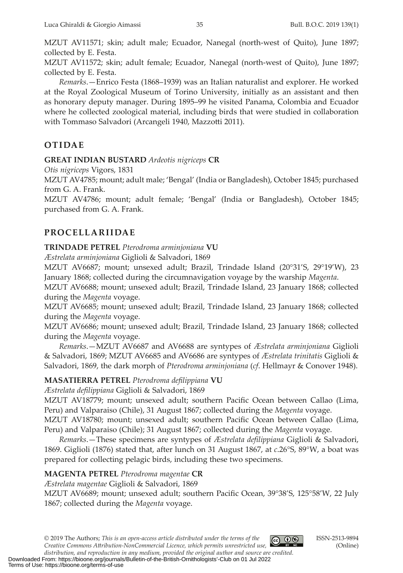MZUT AV11571; skin; adult male; Ecuador, Nanegal (north-west of Quito), June 1897; collected by E. Festa.

MZUT AV11572; skin; adult female; Ecuador, Nanegal (north-west of Quito), June 1897; collected by E. Festa.

*Remarks*.—Enrico Festa (1868–1939) was an Italian naturalist and explorer. He worked at the Royal Zoological Museum of Torino University, initially as an assistant and then as honorary deputy manager. During 1895–99 he visited Panama, Colombia and Ecuador where he collected zoological material, including birds that were studied in collaboration with Tommaso Salvadori (Arcangeli 1940, Mazzoti 2011).

# **OTIDAE**

## **GREAT INDIAN BUSTARD** *Ardeotis nigriceps* **CR**

*Otis nigriceps* Vigors, 1831

MZUT AV4785; mount; adult male; 'Bengal' (India or Bangladesh), October 1845; purchased from G. A. Frank.

MZUT AV4786; mount; adult female; 'Bengal' (India or Bangladesh), October 1845; purchased from G. A. Frank.

# **PROCELLARIIDAE**

### **TRINDADE PETREL** *Pterodroma arminjoniana* **VU**

*Æstrelata arminjoniana* Giglioli & Salvadori, 1869

MZUT AV6687; mount; unsexed adult; Brazil, Trindade Island (20°31'S, 29°19'W), 23 January 1868; collected during the circumnavigation voyage by the warship *Magenta*.

MZUT AV6688; mount; unsexed adult; Brazil, Trindade Island, 23 January 1868; collected during the *Magenta* voyage.

MZUT AV6685; mount; unsexed adult; Brazil, Trindade Island, 23 January 1868; collected during the *Magenta* voyage.

MZUT AV6686; mount; unsexed adult; Brazil, Trindade Island, 23 January 1868; collected during the *Magenta* voyage.

*Remarks*.—MZUT AV6687 and AV6688 are syntypes of *Æstrelata arminjoniana* Giglioli & Salvadori, 1869; MZUT AV6685 and AV6686 are syntypes of *Æstrelata trinitatis* Giglioli & Salvadori, 1869, the dark morph of *Pterodroma arminjoniana* (*cf*. Hellmayr & Conover 1948).

# **MASATIERRA PETREL** *Pterodroma deflippiana* **VU**

*Æstrelata defilippiana* Giglioli & Salvadori, 1869

MZUT AV18779; mount; unsexed adult; southern Pacific Ocean between Callao (Lima, Peru) and Valparaiso (Chile), 31 August 1867; collected during the *Magenta* voyage.

MZUT AV18780; mount; unsexed adult; southern Pacifc Ocean between Callao (Lima, Peru) and Valparaiso (Chile); 31 August 1867; collected during the *Magenta* voyage.

*Remarks*.—These specimens are syntypes of *Æstrelata defilippiana* Giglioli & Salvadori, 1869. Giglioli (1876) stated that, after lunch on 31 August 1867, at *c*.26°S, 89°W, a boat was prepared for collecting pelagic birds, including these two specimens.

# **MAGENTA PETREL** *Pterodroma magentae* **CR**

*Æstrelata magentae* Giglioli & Salvadori, 1869

MZUT AV6689; mount; unsexed adult; southern Pacifc Ocean, 39°38'S, 125°58'W, 22 July 1867; collected during the *Magenta* voyage.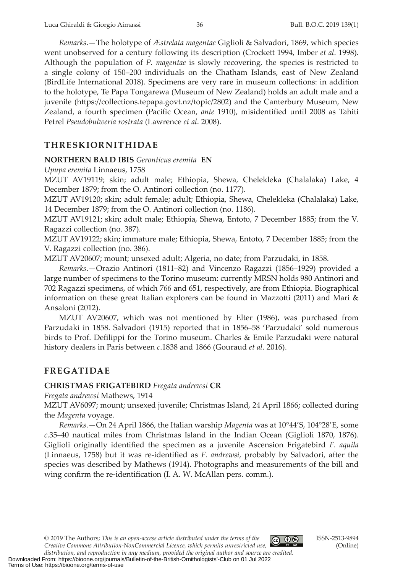*Remarks*.—The holotype of *Æstrelata magentae* Giglioli & Salvadori, 1869, which species went unobserved for a century following its description (Crockett 1994, Imber *et al.* 1998). Although the population of *P. magentae* is slowly recovering, the species is restricted to a single colony of 150–200 individuals on the Chatham Islands, east of New Zealand (BirdLife International 2018). Specimens are very rare in museum collections: in addition to the holotype, Te Papa Tongarewa (Museum of New Zealand) holds an adult male and a juvenile (htps://collections.tepapa.govt.nz/topic/2802) and the Canterbury Museum, New Zealand, a fourth specimen (Pacifc Ocean, *ante* 1910), misidentifed until 2008 as Tahiti Petrel *Pseudobulweria rostrata* (Lawrence *et al*. 2008).

### **THRESKIORNITHIDAE**

#### **NORTHERN BALD IBIS** *Geronticus eremita* **EN**

*Upupa eremita* Linnaeus, 1758

MZUT AV19119; skin; adult male; Ethiopia, Shewa, Chelekleka (Chalalaka) Lake, 4 December 1879; from the O. Antinori collection (no. 1177).

MZUT AV19120; skin; adult female; adult; Ethiopia, Shewa, Chelekleka (Chalalaka) Lake, 14 December 1879; from the O. Antinori collection (no. 1186).

MZUT AV19121; skin; adult male; Ethiopia, Shewa, Entoto, 7 December 1885; from the V. Ragazzi collection (no. 387).

MZUT AV19122; skin; immature male; Ethiopia, Shewa, Entoto, 7 December 1885; from the V. Ragazzi collection (no. 386).

MZUT AV20607; mount; unsexed adult; Algeria, no date; from Parzudaki, in 1858.

*Remarks*.—Orazio Antinori (1811–82) and Vincenzo Ragazzi (1856–1929) provided a large number of specimens to the Torino museum: currently MRSN holds 980 Antinori and 702 Ragazzi specimens, of which 766 and 651, respectively, are from Ethiopia. Biographical information on these great Italian explorers can be found in Mazzoti (2011) and Mari & Ansaloni (2012).

MZUT AV20607, which was not mentioned by Elter (1986), was purchased from Parzudaki in 1858. Salvadori (1915) reported that in 1856–58 'Parzudaki' sold numerous birds to Prof. Deflippi for the Torino museum. Charles & Emile Parzudaki were natural history dealers in Paris between *c*.1838 and 1866 (Gouraud *et al*. 2016).

### **FREGATIDAE**

#### **CHRISTMAS FRIGATEBIRD** *Fregata andrewsi* **CR**

*Fregata andrewsi* Mathews, 1914

MZUT AV6097; mount; unsexed juvenile; Christmas Island, 24 April 1866; collected during the *Magenta* voyage.

*Remarks*.—On 24 April 1866, the Italian warship *Magenta* was at 10°44'S, 104°28'E, some *c*.35–40 nautical miles from Christmas Island in the Indian Ocean (Giglioli 1870, 1876). Giglioli originally identifed the specimen as a juvenile Ascension Frigatebird *F. aquila* (Linnaeus, 1758) but it was re-identifed as *F. andrewsi*, probably by Salvadori, after the species was described by Mathews (1914). Photographs and measurements of the bill and wing confrm the re-identifcation (I. A. W. McAllan pers. comm.).

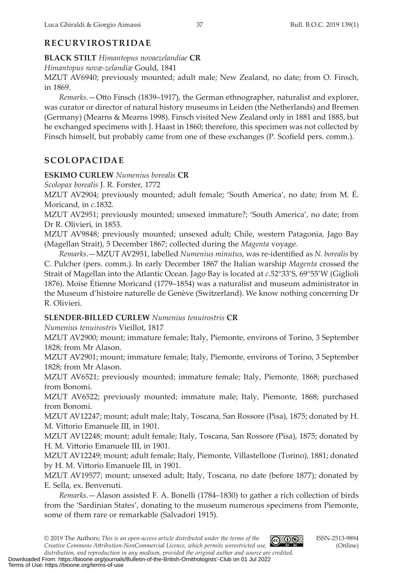# **RECURVIROSTRIDAE**

**BLACK STILT** *Himantopus novaezelandiae* **CR**

*Himantopus novæ-zelandiæ* Gould, 1841

MZUT AV6940; previously mounted; adult male; New Zealand, no date; from O. Finsch, in 1869.

*Remarks*.—Oto Finsch (1839–1917), the German ethnographer, naturalist and explorer, was curator or director of natural history museums in Leiden (the Netherlands) and Bremen (Germany) (Mearns & Mearns 1998). Finsch visited New Zealand only in 1881 and 1885, but he exchanged specimens with J. Haast in 1860; therefore, this specimen was not collected by Finsch himself, but probably came from one of these exchanges (P. Scofield pers. comm.).

# **SCOLOPACIDAE**

# **ESKIMO CURLEW** *Numenius borealis* **CR**

*Scolopax borealis* J. R. Forster, 1772

MZUT AV2904; previously mounted; adult female; 'South America', no date; from M. É. Moricand, in *c*.1832.

MZUT AV2951; previously mounted; unsexed immature?; 'South America', no date; from Dr R. Olivieri, in 1853.

MZUT AV9848; previously mounted; unsexed adult; Chile, western Patagonia, Jago Bay (Magellan Strait), 5 December 1867; collected during the *Magenta* voyage.

*Remarks*.—MZUT AV2951, labelled *Numenius minutus*, was re-identifed as *N. borealis* by C. Pulcher (pers. comm.). In early December 1867 the Italian warship *Magenta* crossed the Strait of Magellan into the Atlantic Ocean. Jago Bay is located at *c*.52°33'S, 69°55'W (Giglioli 1876). Moïse Étienne Moricand (1779–1854) was a naturalist and museum administrator in the Museum d'histoire naturelle de Genève (Switerland). We know nothing concerning Dr R. Olivieri.

# **SLENDER-BILLED CURLEW** *Numenius tenuirostris* **CR**

*Numenius tenuirostris* Vieillot, 1817

MZUT AV2900; mount; immature female; Italy, Piemonte, environs of Torino, 3 September 1828; from Mr Alason.

MZUT AV2901; mount; immature female; Italy, Piemonte, environs of Torino, 3 September 1828; from Mr Alason.

MZUT AV6521; previously mounted; immature female; Italy, Piemonte, 1868; purchased from Bonomi.

MZUT AV6522; previously mounted; immature male; Italy, Piemonte, 1868; purchased from Bonomi.

MZUT AV12247; mount; adult male; Italy, Toscana, San Rossore (Pisa), 1875; donated by H. M. Vitorio Emanuele III, in 1901.

MZUT AV12248; mount; adult female; Italy, Toscana, San Rossore (Pisa), 1875; donated by H. M. Vitorio Emanuele III, in 1901.

MZUT AV12249; mount; adult female; Italy, Piemonte, Villastellone (Torino), 1881; donated by H. M. Vitorio Emanuele III, in 1901.

MZUT AV19577; mount; unsexed adult; Italy, Toscana, no date (before 1877); donated by E. Sella, ex. Benvenuti.

*Remarks*.—Alason assisted F. A. Bonelli (1784–1830) to gather a rich collection of birds from the 'Sardinian States', donating to the museum numerous specimens from Piemonte, some of them rare or remarkable (Salvadori 1915).

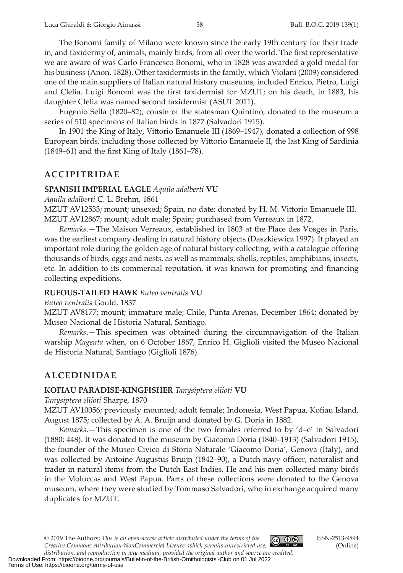The Bonomi family of Milano were known since the early 19th century for their trade in, and taxidermy of, animals, mainly birds, from all over the world. The frst representative we are aware of was Carlo Francesco Bonomi, who in 1828 was awarded a gold medal for his business (Anon. 1828). Other taxidermists in the family, which Violani (2009) considered one of the main suppliers of Italian natural history museums, included Enrico, Pietro, Luigi and Clelia. Luigi Bonomi was the frst taxidermist for MZUT; on his death, in 1883, his daughter Clelia was named second taxidermist (ASUT 2011).

Eugenio Sella (1820–82), cousin of the statesman Quintino, donated to the museum a series of 510 specimens of Italian birds in 1877 (Salvadori 1915).

In 1901 the King of Italy, Vitorio Emanuele III (1869–1947), donated a collection of 998 European birds, including those collected by Vitorio Emanuele II, the last King of Sardinia (1849–61) and the frst King of Italy (1861–78).

### **ACCIPITRIDAE**

#### **SPANISH IMPERIAL EAGLE** *Aquila adalberti* **VU**

*Aquila adalberti* C. L. Brehm, 1861

MZUT AV12533; mount; unsexed; Spain, no date; donated by H. M. Vitorio Emanuele III. MZUT AV12867; mount; adult male; Spain; purchased from Verreaux in 1872.

*Remarks*.—The Maison Verreaux, established in 1803 at the Place des Vosges in Paris, was the earliest company dealing in natural history objects (Daszkiewicz 1997). It played an important role during the golden age of natural history collecting, with a catalogue ofering thousands of birds, eggs and nests, as well as mammals, shells, reptiles, amphibians, insects, etc. In addition to its commercial reputation, it was known for promoting and fnancing collecting expeditions.

#### **RUFOUS-TAILED HAWK** *Buteo ventralis* **VU**

#### *Buteo ventralis* Gould, 1837

MZUT AV8177; mount; immature male; Chile, Punta Arenas, December 1864; donated by Museo Nacional de Historia Natural, Santiago.

*Remarks*.—This specimen was obtained during the circumnavigation of the Italian warship *Magenta* when, on 6 October 1867, Enrico H. Giglioli visited the Museo Nacional de Historia Natural, Santiago (Giglioli 1876).

### **ALCEDINIDAE**

#### **KOFIAU PARADISE-KINGFISHER** *Tanysiptera ellioti* **VU**

*Tanysiptera ellioti* Sharpe, 1870

MZUT AV10056; previously mounted; adult female; Indonesia, West Papua, Kofau Island, August 1875; collected by A. A. Bruijn and donated by G. Doria in 1882.

*Remarks*.—This specimen is one of the two females referred to by 'd–e' in Salvadori (1880: 448). It was donated to the museum by Giacomo Doria (1840–1913) (Salvadori 1915), the founder of the Museo Civico di Storia Naturale 'Giacomo Doria', Genova (Italy), and was collected by Antoine Augustus Bruijn (1842–90), a Dutch navy officer, naturalist and trader in natural items from the Dutch East Indies. He and his men collected many birds in the Moluccas and West Papua. Parts of these collections were donated to the Genova museum, where they were studied by Tommaso Salvadori, who in exchange acquired many duplicates for MZUT.

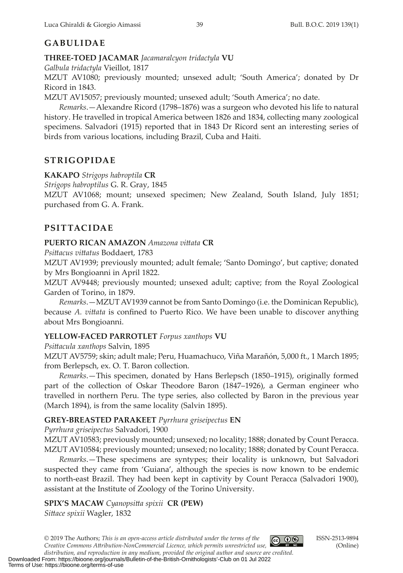# **GABULIDAE**

**THREE-TOED JACAMAR** *Jacamaralcyon tridactyla* **VU**

*Galbula tridactyla* Vieillot, 1817

MZUT AV1080; previously mounted; unsexed adult; 'South America'; donated by Dr Ricord in 1843.

MZUT AV15057; previously mounted; unsexed adult; 'South America'; no date.

*Remarks*.—Alexandre Ricord (1798–1876) was a surgeon who devoted his life to natural history. He travelled in tropical America between 1826 and 1834, collecting many zoological specimens. Salvadori (1915) reported that in 1843 Dr Ricord sent an interesting series of birds from various locations, including Brazil, Cuba and Haiti.

# **STRIGOPIDAE**

**KAKAPO** *Strigops habroptila* **CR**

*Strigops habroptilus* G. R. Gray, 1845

MZUT AV1068; mount; unsexed specimen; New Zealand, South Island, July 1851; purchased from G. A. Frank.

# **PSITTACIDAE**

# **PUERTO RICAN AMAZON** *Amazona vitata* **CR**

*Psitacus vitatus* Boddaert, 1783

MZUT AV1939; previously mounted; adult female; 'Santo Domingo', but captive; donated by Mrs Bongioanni in April 1822.

MZUT AV9448; previously mounted; unsexed adult; captive; from the Royal Zoological Garden of Torino, in 1879.

*Remarks*.—MZUT AV1939 cannot be from Santo Domingo (i.e. the Dominican Republic), because *A. vitata* is confned to Puerto Rico. We have been unable to discover anything about Mrs Bongioanni.

# **YELLOW-FACED PARROTLET** *Forpus xanthops* **VU**

*Psitacula xanthops* Salvin, 1895

MZUT AV5759; skin; adult male; Peru, Huamachuco, Viña Marañón, 5,000 ft., 1 March 1895; from Berlepsch, ex. O. T. Baron collection.

*Remarks*.—This specimen, donated by Hans Berlepsch (1850–1915), originally formed part of the collection of Oskar Theodore Baron (1847–1926), a German engineer who travelled in northern Peru. The type series, also collected by Baron in the previous year (March 1894), is from the same locality (Salvin 1895).

# **GREY-BREASTED PARAKEET** *Pyrrhura griseipectus* **EN**

*Pyrrhura griseipectus* Salvadori, 1900

MZUT AV10583; previously mounted; unsexed; no locality; 1888; donated by Count Peracca. MZUT AV10584; previously mounted; unsexed; no locality; 1888; donated by Count Peracca.

*Remarks*.—These specimens are syntypes; their locality is unknown, but Salvadori suspected they came from 'Guiana', although the species is now known to be endemic to north-east Brazil. They had been kept in captivity by Count Peracca (Salvadori 1900), assistant at the Institute of Zoology of the Torino University.

**SPIX'S MACAW** *Cyanopsita spixii* **CR (PEW)** *Sitace spixii* Wagler, 1832

© 2019 The Authors; *This is an open‐access article distributed under the terms of the Creative Commons Atribution-NonCommercial Licence, which permits unrestricted use,* 



ISSN-2513-9894 (Online)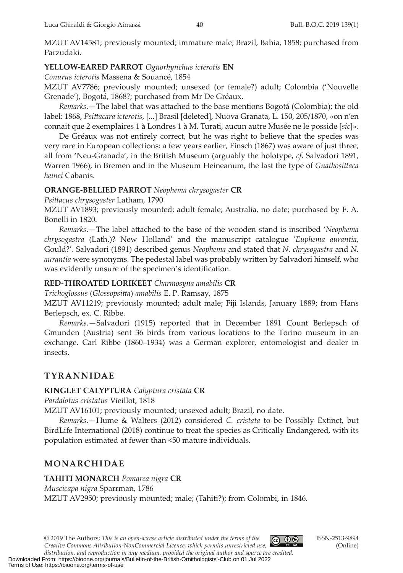MZUT AV14581; previously mounted; immature male; Brazil, Bahia, 1858; purchased from Parzudaki.

## **YELLOW-EARED PARROT** *Ognorhynchus icterotis* **EN**

*Conurus icterotis* Massena & Souancé, 1854

MZUT AV7786; previously mounted; unsexed (or female?) adult; Colombia ('Nouvelle Grenade'), Bogotá, 1868?; purchased from Mr De Gréaux.

*Remarks*.—The label that was atached to the base mentions Bogotá (Colombia); the old label: 1868, *Psitacara icterotis*, [...] Brasil [deleted], Nuova Granata, L. 150, 205/1870, «on n'en connait que 2 exemplaires 1 à Londres 1 à M. Turati, aucun autre Musée ne le posside [*sic*]».

De Gréaux was not entirely correct, but he was right to believe that the species was very rare in European collections: a few years earlier, Finsch (1867) was aware of just three, all from 'Neu-Granada', in the British Museum (arguably the holotype, *cf*. Salvadori 1891, Warren 1966), in Bremen and in the Museum Heineanum, the last the type of *Gnathositaca heinei* Cabanis.

### **ORANGE-BELLIED PARROT** *Neophema chrysogaster* **CR**

*Psitacus chrysogaster* Latham, 1790

MZUT AV1893; previously mounted; adult female; Australia, no date; purchased by F. A. Bonelli in 1820.

*Remarks*.—The label atached to the base of the wooden stand is inscribed '*Neophema chrysogastra* (Lath.)? New Holland' and the manuscript catalogue '*Euphema aurantia*, Gould?'. Salvadori (1891) described genus *Neophema* and stated that *N. chrysogastra* and *N. aurantia* were synonyms. The pedestal label was probably writen by Salvadori himself, who was evidently unsure of the specimen's identifcation.

### **RED-THROATED LORIKEET** *Charmosyna amabilis* **CR**

*Trichoglossus* (*Glossopsita*) *amabilis* E. P. Ramsay, 1875

MZUT AV11219; previously mounted; adult male; Fiji Islands, January 1889; from Hans Berlepsch, ex. C. Ribbe.

*Remarks*.—Salvadori (1915) reported that in December 1891 Count Berlepsch of Gmunden (Austria) sent 36 birds from various locations to the Torino museum in an exchange. Carl Ribbe (1860–1934) was a German explorer, entomologist and dealer in insects.

# **TYRANNIDAE**

### **KINGLET CALYPTURA** *Calyptura cristata* **CR**

*Pardalotus cristatus* Vieillot, 1818

MZUT AV16101; previously mounted; unsexed adult; Brazil, no date.

*Remarks*.—Hume & Walters (2012) considered *C. cristata* to be Possibly Extinct, but BirdLife International (2018) continue to treat the species as Critically Endangered, with its population estimated at fewer than <50 mature individuals.

# **MONARCHIDAE**

### **TAHITI MONARCH** *Pomarea nigra* **CR**

*Muscicapa nigra* Sparrman, 1786

MZUT AV2950; previously mounted; male; (Tahiti?); from Colombi, in 1846.

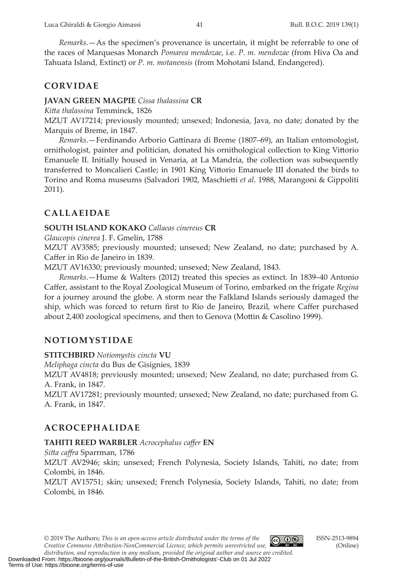*Remarks*.—As the specimen's provenance is uncertain, it might be referrable to one of the races of Marquesas Monarch *Pomarea mendozae*, i.e. *P. m. mendozae* (from Hiva Oa and Tahuata Island, Extinct) or *P. m. motanensis* (from Mohotani Island, Endangered).

### **CORVIDAE**

#### **JAVAN GREEN MAGPIE** *Cissa thalassina* **CR**

*Kita thalassina* Temminck, 1826

MZUT AV17214; previously mounted; unsexed; Indonesia, Java, no date; donated by the Marquis of Breme, in 1847.

*Remarks*.—Ferdinando Arborio Gatinara di Breme (1807–69), an Italian entomologist, ornithologist, painter and politician, donated his ornithological collection to King Vitorio Emanuele II. Initially housed in Venaria, at La Mandria, the collection was subsequently transferred to Moncalieri Castle; in 1901 King Vitorio Emanuele III donated the birds to Torino and Roma museums (Salvadori 1902, Maschieti *et al*. 1988, Marangoni & Gippoliti 2011).

# **CALLAEIDAE**

#### **SOUTH ISLAND KOKAKO** *Callaeas cinereus* **CR**

*Glaucopis cinerea* J. F. Gmelin, 1788

MZUT AV3585; previously mounted; unsexed; New Zealand, no date; purchased by A. Cafer in Rio de Janeiro in 1839.

MZUT AV16330; previously mounted; unsexed; New Zealand, 1843.

*Remarks*.—Hume & Walters (2012) treated this species as extinct. In 1839–40 Antonio Cafer, assistant to the Royal Zoological Museum of Torino, embarked on the frigate *Regina* for a journey around the globe. A storm near the Falkland Islands seriously damaged the ship, which was forced to return frst to Rio de Janeiro, Brazil, where Cafer purchased about 2,400 zoological specimens, and then to Genova (Motin & Casolino 1999).

# **NOTIOMYSTIDAE**

**STITCHBIRD** *Notiomystis cincta* **VU**

*Meliphaga cincta* du Bus de Gisignies, 1839

MZUT AV4818; previously mounted; unsexed; New Zealand, no date; purchased from G. A. Frank, in 1847.

MZUT AV17281; previously mounted; unsexed; New Zealand, no date; purchased from G. A. Frank, in 1847.

# **ACROCEPHALIDAE**

#### **TAHITI REED WARBLER** *Acrocephalus cafer* **EN**

*Sita cafra* Sparrman, 1786 MZUT AV2946; skin; unsexed; French Polynesia, Society Islands, Tahiti, no date; from Colombi, in 1846. MZUT AV15751; skin; unsexed; French Polynesia, Society Islands, Tahiti, no date; from Colombi, in 1846.

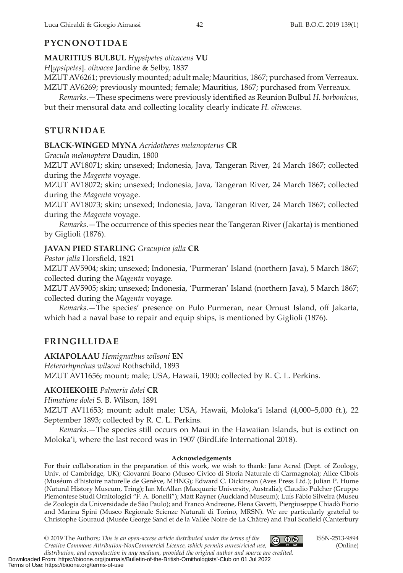# **PYCNONOTIDAE**

**MAURITIUS BULBUL** *Hypsipetes olivaceus* **VU**

*H*[*ypsipetes*]*. olivacea* Jardine & Selby, 1837

MZUT AV6261; previously mounted; adult male; Mauritius, 1867; purchased from Verreaux. MZUT AV6269; previously mounted; female; Mauritius, 1867; purchased from Verreaux.

*Remarks*.—These specimens were previously identifed as Reunion Bulbul *H. borbonicus*, but their mensural data and collecting locality clearly indicate *H. olivaceus*.

# **STURNIDAE**

### **BLACK-WINGED MYNA** *Acridotheres melanopterus* **CR**

*Gracula melanoptera* Daudin, 1800

MZUT AV18071; skin; unsexed; Indonesia, Java, Tangeran River, 24 March 1867; collected during the *Magenta* voyage.

MZUT AV18072; skin; unsexed; Indonesia, Java, Tangeran River, 24 March 1867; collected during the *Magenta* voyage.

MZUT AV18073; skin; unsexed; Indonesia, Java, Tangeran River, 24 March 1867; collected during the *Magenta* voyage.

*Remarks*.—The occurrence of this species near the Tangeran River (Jakarta) is mentioned by Giglioli (1876).

# **JAVAN PIED STARLING** *Gracupica jalla* **CR**

*Pastor jalla* Horsfeld, 1821

MZUT AV5904; skin; unsexed; Indonesia, 'Purmeran' Island (northern Java), 5 March 1867; collected during the *Magenta* voyage.

MZUT AV5905; skin; unsexed; Indonesia, 'Purmeran' Island (northern Java), 5 March 1867; collected during the *Magenta* voyage.

*Remarks*.—The species' presence on Pulo Purmeran, near Ornust Island, of Jakarta, which had a naval base to repair and equip ships, is mentioned by Giglioli (1876).

# **FRINGILLIDAE**

**AKIAPOLAAU** *Hemignathus wilsoni* **EN**

*Heterorhynchus wilsoni* Rothschild, 1893

MZUT AV11656; mount; male; USA, Hawaii, 1900; collected by R. C. L. Perkins.

### **AKOHEKOHE** *Palmeria dolei* **CR**

*Himatione dolei* S. B. Wilson, 1891

MZUT AV11653; mount; adult male; USA, Hawaii, Moloka'i Island (4,000–5,000 ft.), 22 September 1893; collected by R. C. L. Perkins.

*Remarks*.—The species still occurs on Maui in the Hawaiian Islands, but is extinct on Moloka'i, where the last record was in 1907 (BirdLife International 2018).

#### **Acknowledgements**

For their collaboration in the preparation of this work, we wish to thank: Jane Acred (Dept. of Zoology, Univ. of Cambridge, UK); Giovanni Boano (Museo Civico di Storia Naturale di Carmagnola); Alice Cibois (Muséum d'histoire naturelle de Genève, MHNG); Edward C. Dickinson (Aves Press Ltd.); Julian P. Hume (Natural History Museum, Tring); Ian McAllan (Macquarie University, Australia); Claudio Pulcher (Gruppo Piemontese Studi Ornitologici "F. A. Bonelli"); Mat Rayner (Auckland Museum); Luís Fábio Silveira (Museu de Zoologia da Universidade de São Paulo); and Franco Andreone, Elena Gaveti, Piergiuseppe Chiadò Fiorio and Marina Spini (Museo Regionale Scienze Naturali di Torino, MRSN). We are particularly grateful to Christophe Gouraud (Musée George Sand et de la Vallée Noire de La Châtre) and Paul Scofeld (Canterbury

© 2019 The Authors; *This is an open‐access article distributed under the terms of the* 



ISSN-2513-9894 (Online)

*Creative Commons Atribution-NonCommercial Licence, which permits unrestricted use, distribution, and reproduction in any medium, provided the original author and source are credited.* Downloaded From: https://bioone.org/journals/Bulletin-of-the-British-Ornithologists'-Club on 01 Jul 2022 Terms of Use: https://bioone.org/terms-of-use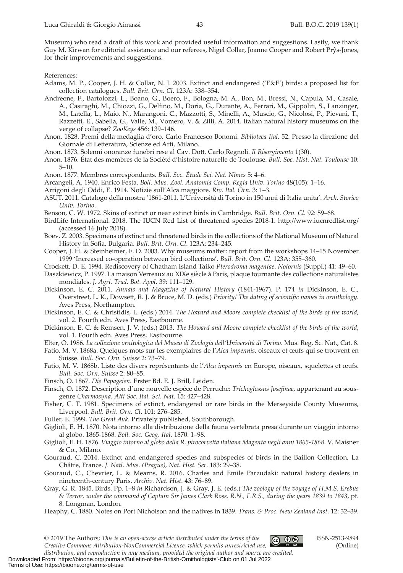Museum) who read a draft of this work and provided useful information and suggestions. Lastly, we thank Guy M. Kirwan for editorial assistance and our referees, Nigel Collar, Joanne Cooper and Robert Prŷs-Jones, for their improvements and suggestions.

References:

- Adams, M. P., Cooper, J. H. & Collar, N. J. 2003. Extinct and endangered ('E&E') birds: a proposed list for collection catalogues. *Bull. Brit. Orn. Cl*. 123A: 338–354.
- Andreone, F., Bartolozzi, L., Boano, G., Boero, F., Bologna, M. A., Bon, M., Bressi, N., Capula, M., Casale, A., Casiraghi, M., Chiozzi, G., Delfno, M., Doria, G., Durante, A., Ferrari, M., Gippoliti, S., Lanzinger, M., Latella, L., Maio, N., Marangoni, C., Mazzoti, S., Minelli, A., Muscio, G., Nicolosi, P., Pievani, T., Razzeti, E., Sabella, G., Valle, M., Vomero, V. & Zilli, A. 2014. Italian natural history museums on the verge of collapse? *ZooKeys* 456: 139–146.
- Anon. 1828. Premi della medaglia d'oro. Carlo Francesco Bonomi. *Biblioteca Ital*. 52. Presso la direzione del Giornale di Leteratura, Scienze ed Arti, Milano.
- Anon. 1873. Solenni onoranze funebri rese al Cav. Dot. Carlo Regnoli. *Il Risorgimento* 1(30).
- Anon. 1876. État des membres de la Société d'histoire naturelle de Toulouse. *Bull. Soc. Hist. Nat. Toulouse* 10: 5–10.
- Anon. 1877. Membres correspondants. *Bull. Soc. Étude Sci. Nat. Nîmes* 5: 4–6.
- Arcangeli, A. 1940. Enrico Festa. *Boll. Mus. Zool. Anatomia Comp. Regia Univ. Torino* 48(105): 1–16.
- Arrigoni degli Oddi, E. 1914. Notizie sull'Alca maggiore. *Riv. Ital. Orn*. 3: 1–3.
- ASUT. 2011. Catalogo della mostra '1861-2011. L'Università di Torino in 150 anni di Italia unita'. *Arch. Storico Univ. Torino*.
- Benson, C. W. 1972. Skins of extinct or near extinct birds in Cambridge. *Bull. Brit. Orn. Cl*. 92: 59–68.
- BirdLife International. 2018. The IUCN Red List of threatened species 2018-1. htp://www.iucnredlist.org/ (accessed 16 July 2018).
- Boev, Z. 2003. Specimens of extinct and threatened birds in the collections of the National Museum of Natural History in Sofa, Bulgaria. *Bull. Brit. Orn. Cl*. 123A: 234–245.
- Cooper, J. H. & Steinheimer, F. D. 2003. Why museums mater: report from the workshops 14–15 November 1999 'Increased co-operation between bird collections'. *Bull. Brit. Orn. Cl*. 123A: 355–360.
- Crocket, D. E. 1994. Rediscovery of Chatham Island Taiko *Pterodroma magentae*. *Notornis* (Suppl.) 41: 49–60.
- Daszkiewicz, P. 1997. La maison Verreaux au XIXe siècle à Paris, plaque tournante des collections naturalistes mondiales. *J. Agri. Trad. Bot. Appl*. 39: 111–129.
- Dickinson, E. C. 2011. *Annals and Magazine of Natural History* (1841-1967). P. 174 *in* Dickinson, E. C., Overstreet, L. K., Dowset, R. J. & Bruce, M. D. (eds.) *Priority! The dating of scientifc names in ornithology*. Aves Press, Northampton.
- Dickinson, E. C. & Christidis, L. (eds.) 2014. *The Howard and Moore complete checklist of the birds of the world*, vol. 2. Fourth edn. Aves Press, Eastbourne.
- Dickinson, E. C. & Remsen, J. V. (eds.) 2013. *The Howard and Moore complete checklist of the birds of the world*, vol. 1. Fourth edn. Aves Press, Eastbourne.
- Elter, O. 1986. *La collezione ornitologica del Museo di Zoologia dell'Università di Torino*. Mus. Reg. Sc. Nat., Cat. 8.
- Fatio, M. V. 1868a. Quelques mots sur les exemplaires de l'*Alca impennis*, oiseaux et œufs qui se trouvent en Suisse. *Bull. Soc. Orn. Suisse* 2: 73–79.

Fatio, M. V. 1868b. Liste des divers représentants de l'*Alca impennis* en Europe, oiseaux, squeletes et œufs. *Bull. Soc. Orn. Suisse* 2: 80–85.

Finsch, O. 1867. *Die Papageien*. Erster Bd. E. J. Brill, Leiden.

- Finsch, O. 1872. Description d'une nouvelle espèce de Perruche: *Trichoglossus Josefnae*, appartenant au sousgenre *Charmosyna*. *Ati Soc. Ital. Sci. Nat*. 15: 427–428.
- Fisher, C. T. 1981. Specimens of extinct, endangered or rare birds in the Merseyside County Museums, Liverpool. *Bull. Brit. Orn. Cl*. 101: 276–285.
- Fuller, E. 1999. *The Great Auk*. Privately published, Southborough.
- Giglioli, E. H. 1870. Nota intorno alla distribuzione della fauna vertebrata presa durante un viaggio intorno al globo. 1865-1868. *Boll. Soc. Geog. Ital*. 1870: 1–98.
- Giglioli, E. H. 1876. *Viaggio intorno al globo della R. pirocorveta italiana Magenta negli anni 1865-1868*. V. Maisner & Co., Milano.
- Gouraud, C. 2014. Extinct and endangered species and subspecies of birds in the Baillon Collection, La Châtre, France. *J. Natl. Mus. (Prague), Nat. Hist. Ser*. 183: 29–38.
- Gouraud, C., Chevrier, L. & Mearns, R. 2016. Charles and Emile Parzudaki: natural history dealers in nineteenth-century Paris. *Archiv. Nat. Hist*. 43: 76–89.
- Gray, G. R. 1845. Birds. Pp. 1–8 *in* Richardson, J. & Gray, J. E. (eds.) *The zoology of the voyage of H.M.S. Erebus* & Terror, under the command of Captain Sir James Clark Ross, R.N., F.R.S., during the years 1839 to 1843, pt. 8. Longman, London.
- Heaphy, C. 1880. Notes on Port Nicholson and the natives in 1839. *Trans. & Proc. New Zealand Inst*. 12: 32–39.

© 2019 The Authors; *This is an open‐access article distributed under the terms of the Creative Commons Atribution-NonCommercial Licence, which permits unrestricted use,* 



ISSN-2513-9894 (Online)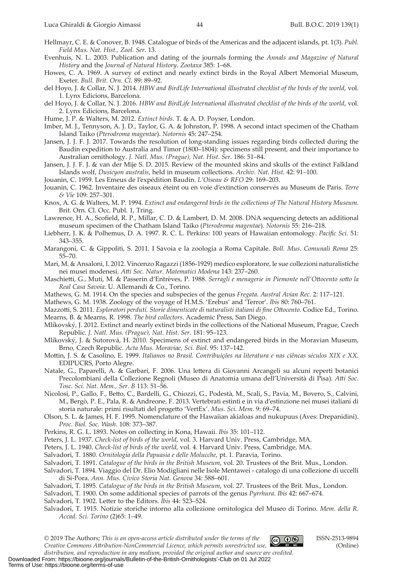- Hellmayr, C. E. & Conover, B. 1948. Catalogue of birds of the Americas and the adjacent islands, pt. 1(3). *Publ. Field Mus. Nat. Hist., Zool. Ser*. 13.
- Evenhuis, N. L. 2003. Publication and dating of the journals forming the *Annals and Magazine of Natural History* and the *Journal of Natural History*. *Zootaxa* 385: 1–68.
- Howes, C. A. 1969. A survey of extinct and nearly extinct birds in the Royal Albert Memorial Museum, Exeter. *Bull. Brit. Orn. Cl*. 89: 89–92.
- del Hoyo, J. & Collar, N. J. 2014. *HBW and BirdLife International illustrated checklist of the birds of the world*, vol. 1. Lynx Edicions, Barcelona.
- del Hoyo, J. & Collar, N. J. 2016. *HBW and BirdLife International illustrated checklist of the birds of the world*, vol. 2. Lynx Edicions, Barcelona.
- Hume, J. P. & Walters, M. 2012. *Extinct birds*. T. & A. D. Poyser, London.
- Imber, M. J., Tennyson, A. J. D., Taylor, G. A. & Johnston, P. 1998. A second intact specimen of the Chatham Island Taiko (*Pterodroma magentae*). *Notornis* 45: 247–254.
- Jansen, J. J. F. J. 2017. Towards the resolution of long-standing issues regarding birds collected during the Baudin expedition to Australia and Timor (1800–1804): specimens still present, and their importance to Australian ornithology. *J. Natl. Mus. (Prague), Nat. Hist. Ser*. 186: 51–84.
- Jansen, J. J. F. J. & van der Mije S. D. 2015. Review of the mounted skins and skulls of the extinct Falkland Islands wolf, *Dusicyon australis*, held in museum collections. *Archiv. Nat. Hist*. 42: 91–100.
- Jouanin, C. 1959. Les Emeus de l'expédition Baudin. *L'Oiseau & RFO* 29: 169–203.
- Jouanin, C. 1962. Inventaire des oiseaux éteint ou en voie d'extinction conservés au Museum de Paris. *Terre & Vie* 109: 257–301.
- Knox, A. G. & Walters, M. P. 1994. *Extinct and endangered birds in the collections of The Natural History Museum*. Brit. Orn. Cl. Occ. Publ. 1, Tring.
- Lawrence, H. A., Scofeld, R. P., Millar, C. D. & Lambert, D. M. 2008. DNA sequencing detects an additional museum specimen of the Chatham Island Taiko (*Pterodroma magentae*). *Notornis* 55: 216–218.
- Liebherr, J. K. & Polhemus, D. A. 1997. R. C. L. Perkins: 100 years of Hawaiian entomology. *Pacifc Sci*. 51: 343–355.
- Marangoni, C. & Gippoliti, S. 2011. I Savoia e la zoologia a Roma Capitale. *Boll. Mus. Comunali Roma* 25: 55–70.
- Mari, M. & Ansaloni, I. 2012. Vincenzo Ragazzi (1856-1929) medico esploratore, le sue collezioni naturalistiche nei musei modenesi. *Ati Soc. Natur. Matematici Modena* 143: 237–260.
- Maschieti, G., Muti, M. & Passerin d'Entrèves, P. 1988. *Serragli e menagerie in Piemonte nell'Otocento soto la Real Casa Savoia*. U. Allemandi & Co., Torino.
- Mathews, G. M. 1914. On the species and subspecies of the genus *Fregata*. *Austral Avian Rec*. 2: 117–121.
- Mathews, G. M. 1938. Zoology of the voyage of H.M.S. 'Erebus' and 'Terror'. *Ibis* 80: 760–761.
- Mazzoti, S. 2011. *Esploratori perduti. Storie dimenticate di naturalisti italiani di fne Otocento*. Codice Ed., Torino. Mearns, B. & Mearns, R. 1998. *The bird collectors*. Academic Press, San Diego.
- Mlíkovský, J. 2012. Extinct and nearly extinct birds in the collections of the National Museum, Prague, Czech Republic. *J. Natl. Mus. (Prague), Nat. Hist. Ser*. 181: 95–123.
- Mlíkovský, J. & Sutorová, H. 2010. Specimens of extinct and endangered birds in the Moravian Museum, Brno, Czech Republic. *Acta Mus. Moraviae, Sci. Biol*. 95: 137–142.
- Motin, J. S. & Casolino, E. 1999. *Italianos no Brasil. Contribuições na literatura e nas ciêncas séculos XIX e XX*. EDIPUCRS, Porto Alegre.
- Natale, G., Paparelli, A. & Garbari, F. 2006. Una letera di Giovanni Arcangeli su alcuni reperti botanici Precolombiani della Collezione Regnoli (Museo di Anatomia umana dell'Università di Pisa). *Ati Soc. Tosc. Sci. Nat. Mem., Ser. B* 113: 51–56.
- Nicolosi, P., Gallo, F., Beto, C., Bardelli, G., Chiozzi, G., Podestà, M., Scali, S., Pavia, M., Bovero, S., Calvini, M., Bergò, P. E., Pala, R. & Andreone, F. 2013. Vertebrati estinti e in via d'estinzione nei musei italiani di storia naturale: primi risultati del progeto 'VertEx'. *Mus. Sci. Mem*. 9: 69–74.
- Olson, S. L. & James, H. F. 1995. Nomenclature of the Hawaiian akialoas and nukupuus (Aves: Drepanidini). *Proc. Biol. Soc. Wash*. 108: 373–387.
- Perkins, R. G. L. 1893. Notes on collecting in Kona, Hawaii. *Ibis* 35: 101–112.
- Peters, J. L. 1937. *Check-list of birds of the world*, vol. 3. Harvard Univ. Press, Cambridge, MA.
- Peters, J. L. 1940. *Check-list of birds of the world*, vol. 4. Harvard Univ. Press, Cambridge, MA.
- Salvadori, T. 1880. *Ornitologia della Papuasia e delle Molucche*, pt. 1. Paravia, Torino.
- Salvadori, T. 1891. *Catalogue of the birds in the British Museum*, vol. 20. Trustees of the Brit. Mus., London.
- Salvadori, T. 1894. Viaggio del Dr. Elio Modigliani nelle Isole Mentawei catalogo di una collezione di uccelli di Si-Pora. *Ann. Mus. Civico Storia Nat. Genova* 34: 588–601.
- Salvadori, T. 1895. *Catalogue of the birds in the British Museum*, vol. 27. Trustees of the Brit. Mus., London.
- Salvadori, T. 1900. On some additional species of parrots of the genus *Pyrrhura*. *Ibis* 42: 667–674.
- Salvadori, T. 1902. Leter to the Editors. *Ibis* 44: 523–524.

Salvadori, T. 1915. Notizie storiche intorno alla collezione ornitologica del Museo di Torino. *Mem. della R. Accad. Sci. Torino* (2)65: 1–49.

© 2019 The Authors; *This is an open‐access article distributed under the terms of the Creative Commons Atribution-NonCommercial Licence, which permits unrestricted use,* 



ISSN-2513-9894 (Online)

*distribution, and reproduction in any medium, provided the original author and source are credited.* Downloaded From: https://bioone.org/journals/Bulletin-of-the-British-Ornithologists'-Club on 01 Jul 2022 Terms of Use: https://bioone.org/terms-of-use